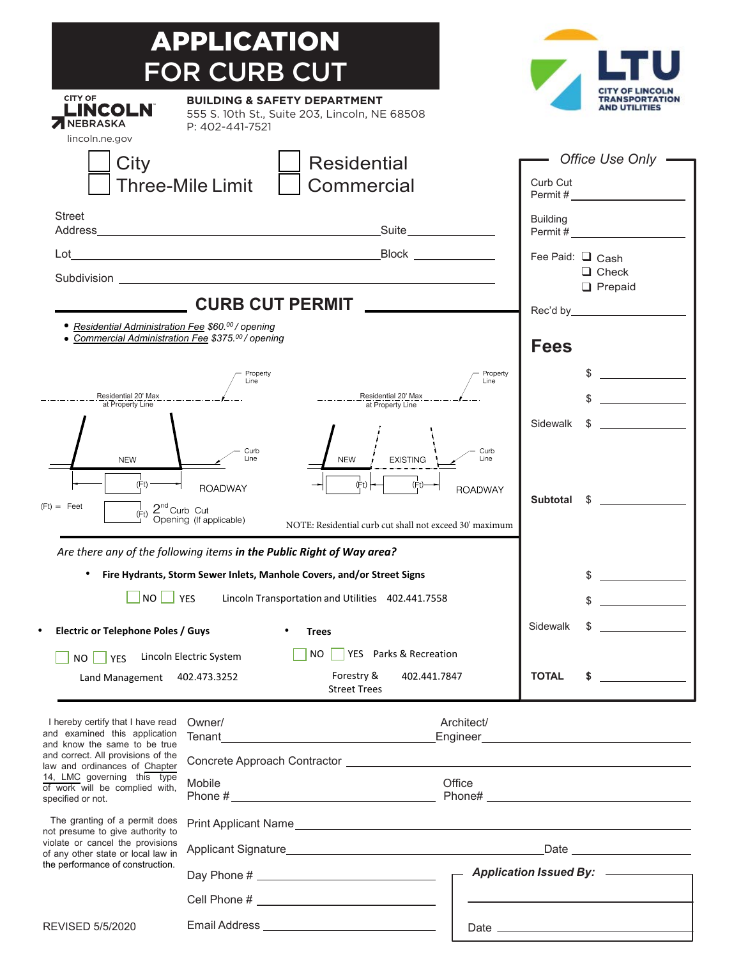|                                                                                                                                                                                 | APPLICATION                                                                                                                   |                                                         |                  |                                     |                                                                                           |
|---------------------------------------------------------------------------------------------------------------------------------------------------------------------------------|-------------------------------------------------------------------------------------------------------------------------------|---------------------------------------------------------|------------------|-------------------------------------|-------------------------------------------------------------------------------------------|
|                                                                                                                                                                                 | <b>FOR CURB CUT</b>                                                                                                           |                                                         |                  |                                     |                                                                                           |
| <b>CITY OF</b><br>LINCOLN<br><b>ZINEBRASKA</b>                                                                                                                                  | <b>BUILDING &amp; SAFETY DEPARTMENT</b><br>P: 402-441-7521                                                                    | 555 S. 10th St., Suite 203, Lincoln, NE 68508           |                  |                                     |                                                                                           |
| lincoln.ne.gov<br>City                                                                                                                                                          | <b>Residential</b><br><b>Three-Mile Limit</b><br>Commercial                                                                   |                                                         |                  | Office Use Only<br>Curb Cut         |                                                                                           |
|                                                                                                                                                                                 |                                                                                                                               |                                                         |                  |                                     |                                                                                           |
| <b>Street</b>                                                                                                                                                                   |                                                                                                                               |                                                         |                  | <b>Building</b>                     |                                                                                           |
| Lot                                                                                                                                                                             |                                                                                                                               |                                                         |                  |                                     | Permit #                                                                                  |
|                                                                                                                                                                                 |                                                                                                                               | Subdivision <b>Subdivision</b>                          |                  | Fee Paid: $\Box$ Cash               | $\Box$ Check                                                                              |
| <b>CURB CUT PERMIT</b>                                                                                                                                                          |                                                                                                                               |                                                         |                  |                                     | $\Box$ Prepaid                                                                            |
| • Residential Administration Fee \$60.00 / opening<br>• Commercial Administration Fee \$375.00 / opening                                                                        |                                                                                                                               |                                                         |                  |                                     |                                                                                           |
|                                                                                                                                                                                 |                                                                                                                               |                                                         |                  | <b>Fees</b>                         |                                                                                           |
|                                                                                                                                                                                 | Property<br>Line                                                                                                              |                                                         | Property<br>Line |                                     |                                                                                           |
| Residential 20' Max<br>at Property Line                                                                                                                                         |                                                                                                                               | Residential 20' Max<br>at Property Line                 |                  |                                     |                                                                                           |
|                                                                                                                                                                                 |                                                                                                                               |                                                         |                  | Sidewalk                            | \$                                                                                        |
| <b>NEW</b>                                                                                                                                                                      | Curb<br>Line                                                                                                                  | <b>NFW</b><br><b>EXISTING</b>                           | Curb<br>Line     |                                     |                                                                                           |
| (Ft)<br>(Ft)<br>(Ft)<br><b>ROADWAY</b><br><b>ROADWAY</b>                                                                                                                        |                                                                                                                               |                                                         |                  |                                     | Subtotal \$                                                                               |
| $(Ft) = Feet$<br>$\frac{1}{(Ft)}$ $\frac{2^{nd}}{2}$ Curb Cut                                                                                                                   | Opening (If applicable)                                                                                                       | NOTE: Residential curb cut shall not exceed 30' maximum |                  |                                     |                                                                                           |
| Are there any of the following items in the Public Right of Way area?                                                                                                           |                                                                                                                               |                                                         |                  |                                     |                                                                                           |
| Fire Hydrants, Storm Sewer Inlets, Manhole Covers, and/or Street Signs                                                                                                          |                                                                                                                               |                                                         |                  |                                     | \$<br><u> 1990 - Johann Barbara, martin a</u>                                             |
| NO <br>$\Box$ YES<br>Lincoln Transportation and Utilities 402.441.7558                                                                                                          |                                                                                                                               |                                                         |                  |                                     | \$                                                                                        |
| <b>Electric or Telephone Poles / Guys</b>                                                                                                                                       |                                                                                                                               | <b>Trees</b>                                            |                  | Sidewalk                            | \$                                                                                        |
|                                                                                                                                                                                 |                                                                                                                               | YES Parks & Recreation<br>NO.                           |                  |                                     |                                                                                           |
| NO <sub>1</sub><br><b>PES</b><br>Land Management 402.473.3252                                                                                                                   | Lincoln Electric System                                                                                                       | Forestry &<br>402.441.7847<br><b>Street Trees</b>       |                  | <b>TOTAL</b>                        | \$<br><u> 1999 - Alban Store, prima posta</u>                                             |
| I hereby certify that I have read                                                                                                                                               | Architect/<br>Owner/                                                                                                          |                                                         |                  |                                     |                                                                                           |
| and examined this application<br>and know the same to be true                                                                                                                   | Tenant<br><u> 1980 - Johann Barn, mars eta bainar eta baina eta baina eta baina eta baina eta baina eta baina eta baina e</u> |                                                         |                  |                                     |                                                                                           |
| and correct. All provisions of the<br>law and ordinances of Chapter                                                                                                             |                                                                                                                               |                                                         |                  |                                     |                                                                                           |
| 14, LMC governing this type<br>of work will be complied with,<br>specified or not.                                                                                              | Mobile<br>Office<br>Phone # $\_$                                                                                              |                                                         |                  |                                     |                                                                                           |
| The granting of a permit does<br>not presume to give authority to<br>violate or cancel the provisions<br>of any other state or local law in<br>the performance of construction. |                                                                                                                               |                                                         |                  |                                     |                                                                                           |
|                                                                                                                                                                                 |                                                                                                                               |                                                         |                  |                                     |                                                                                           |
|                                                                                                                                                                                 |                                                                                                                               |                                                         |                  | Application Issued By: ____________ |                                                                                           |
|                                                                                                                                                                                 |                                                                                                                               |                                                         |                  |                                     | the control of the control of the control of the control of the control of the control of |
| <b>REVISED 5/5/2020</b>                                                                                                                                                         |                                                                                                                               |                                                         |                  |                                     |                                                                                           |